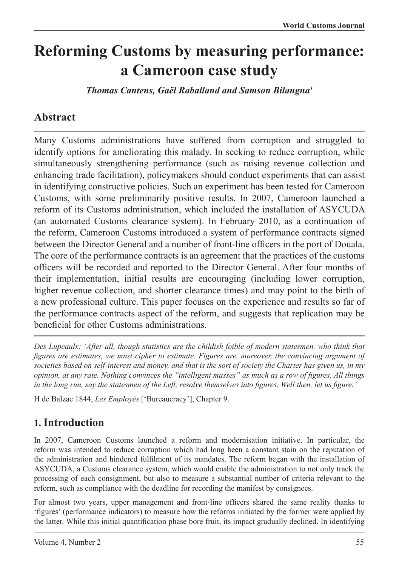# **Reforming Customs by measuring performance: a Cameroon case study**

*Thomas Cantens, Gaël Raballand and Samson Bilangna1*

# **Abstract**

Many Customs administrations have suffered from corruption and struggled to identify options for ameliorating this malady. In seeking to reduce corruption, while simultaneously strengthening performance (such as raising revenue collection and enhancing trade facilitation), policymakers should conduct experiments that can assist in identifying constructive policies. Such an experiment has been tested for Cameroon Customs, with some preliminarily positive results. In 2007, Cameroon launched a reform of its Customs administration, which included the installation of ASYCUDA (an automated Customs clearance system). In February 2010, as a continuation of the reform, Cameroon Customs introduced a system of performance contracts signed between the Director General and a number of front-line officers in the port of Douala. The core of the performance contracts is an agreement that the practices of the customs officers will be recorded and reported to the Director General. After four months of their implementation, initial results are encouraging (including lower corruption, higher revenue collection, and shorter clearance times) and may point to the birth of a new professional culture. This paper focuses on the experience and results so far of the performance contracts aspect of the reform, and suggests that replication may be beneficial for other Customs administrations.

*Des Lupeaulx: 'After all, though statistics are the childish foible of modern statesmen, who think that figures are estimates, we must cipher to estimate. Figures are, moreover, the convincing argument of societies based on self-interest and money, and that is the sort of society the Charter has given us, in my opinion, at any rate. Nothing convinces the "intelligent masses" as much as a row of figures. All things in the long run, say the statesmen of the Left, resolve themselves into figures. Well then, let us figure.'*

H de Balzac 1844, *Les Employés* ['Bureaucracy'], Chapter 9.

# **1. Introduction**

In 2007, Cameroon Customs launched a reform and modernisation initiative. In particular, the reform was intended to reduce corruption which had long been a constant stain on the reputation of the administration and hindered fulfilment of its mandates. The reform began with the installation of ASYCUDA, a Customs clearance system, which would enable the administration to not only track the processing of each consignment, but also to measure a substantial number of criteria relevant to the reform, such as compliance with the deadline for recording the manifest by consignees.

For almost two years, upper management and front-line officers shared the same reality thanks to 'figures' (performance indicators) to measure how the reforms initiated by the former were applied by the latter. While this initial quantification phase bore fruit, its impact gradually declined. In identifying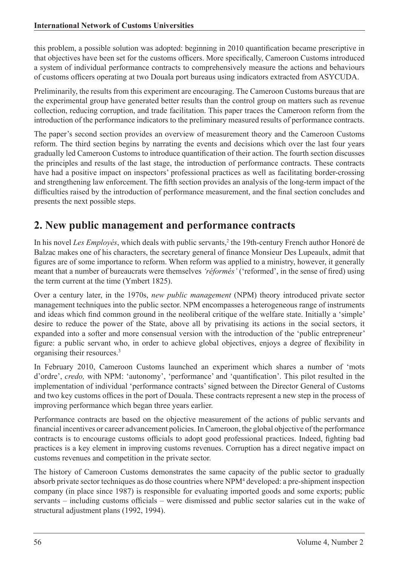this problem, a possible solution was adopted: beginning in 2010 quantification became prescriptive in that objectives have been set for the customs officers. More specifically, Cameroon Customs introduced a system of individual performance contracts to comprehensively measure the actions and behaviours of customs officers operating at two Douala port bureaus using indicators extracted from ASYCUDA.

Preliminarily, the results from this experiment are encouraging. The Cameroon Customs bureaus that are the experimental group have generated better results than the control group on matters such as revenue collection, reducing corruption, and trade facilitation. This paper traces the Cameroon reform from the introduction of the performance indicators to the preliminary measured results of performance contracts.

The paper's second section provides an overview of measurement theory and the Cameroon Customs reform. The third section begins by narrating the events and decisions which over the last four years gradually led Cameroon Customs to introduce quantification of their action. The fourth section discusses the principles and results of the last stage, the introduction of performance contracts. These contracts have had a positive impact on inspectors' professional practices as well as facilitating border-crossing and strengthening law enforcement. The fifth section provides an analysis of the long-term impact of the difficulties raised by the introduction of performance measurement, and the final section concludes and presents the next possible steps.

# **2. New public management and performance contracts**

In his novel *Les Employés*, which deals with public servants,<sup>2</sup> the 19th-century French author Honoré de Balzac makes one of his characters, the secretary general of finance Monsieur Des Lupeaulx, admit that figures are of some importance to reform. When reform was applied to a ministry, however, it generally meant that a number of bureaucrats were themselves *'réformés'* ('reformed', in the sense of fired) using the term current at the time (Ymbert 1825).

Over a century later, in the 1970s, *new public management* (NPM) theory introduced private sector management techniques into the public sector. NPM encompasses a heterogeneous range of instruments and ideas which find common ground in the neoliberal critique of the welfare state. Initially a 'simple' desire to reduce the power of the State, above all by privatising its actions in the social sectors, it expanded into a softer and more consensual version with the introduction of the 'public entrepreneur' figure: a public servant who, in order to achieve global objectives, enjoys a degree of flexibility in organising their resources.3

In February 2010, Cameroon Customs launched an experiment which shares a number of 'mots d'ordre', *credo,* with NPM: 'autonomy', 'performance' and 'quantification'. This pilot resulted in the implementation of individual 'performance contracts' signed between the Director General of Customs and two key customs offices in the port of Douala. These contracts represent a new step in the process of improving performance which began three years earlier.

Performance contracts are based on the objective measurement of the actions of public servants and financial incentives or career advancement policies. In Cameroon, the global objective of the performance contracts is to encourage customs officials to adopt good professional practices. Indeed, fighting bad practices is a key element in improving customs revenues. Corruption has a direct negative impact on customs revenues and competition in the private sector.

The history of Cameroon Customs demonstrates the same capacity of the public sector to gradually absorb private sector techniques as do those countries where NPM<sup>4</sup> developed: a pre-shipment inspection company (in place since 1987) is responsible for evaluating imported goods and some exports; public servants – including customs officials – were dismissed and public sector salaries cut in the wake of structural adjustment plans (1992, 1994).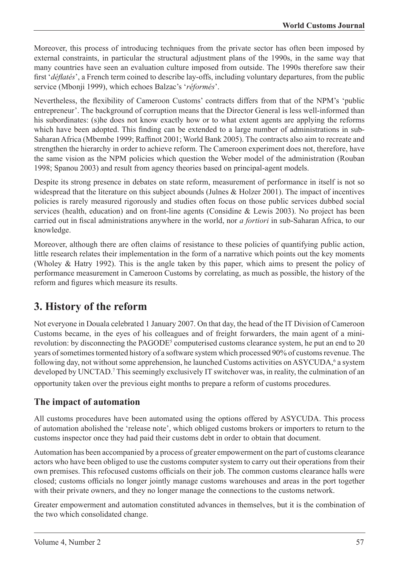Moreover, this process of introducing techniques from the private sector has often been imposed by external constraints, in particular the structural adjustment plans of the 1990s, in the same way that many countries have seen an evaluation culture imposed from outside. The 1990s therefore saw their first '*déflatés*', a French term coined to describe lay-offs, including voluntary departures, from the public service (Mbonji 1999), which echoes Balzac's '*réformés*'.

Nevertheless, the flexibility of Cameroon Customs' contracts differs from that of the NPM's 'public entrepreneur'. The background of corruption means that the Director General is less well-informed than his subordinates: (s)he does not know exactly how or to what extent agents are applying the reforms which have been adopted. This finding can be extended to a large number of administrations in sub-Saharan Africa (Mbembe 1999; Raffinot 2001; World Bank 2005). The contracts also aim to recreate and strengthen the hierarchy in order to achieve reform. The Cameroon experiment does not, therefore, have the same vision as the NPM policies which question the Weber model of the administration (Rouban 1998; Spanou 2003) and result from agency theories based on principal-agent models.

Despite its strong presence in debates on state reform, measurement of performance in itself is not so widespread that the literature on this subject abounds (Julnes & Holzer 2001). The impact of incentives policies is rarely measured rigorously and studies often focus on those public services dubbed social services (health, education) and on front-line agents (Considine & Lewis 2003). No project has been carried out in fiscal administrations anywhere in the world, nor *a fortiori* in sub-Saharan Africa, to our knowledge.

Moreover, although there are often claims of resistance to these policies of quantifying public action, little research relates their implementation in the form of a narrative which points out the key moments (Wholey & Hatry 1992). This is the angle taken by this paper, which aims to present the policy of performance measurement in Cameroon Customs by correlating, as much as possible, the history of the reform and figures which measure its results.

# **3. History of the reform**

Not everyone in Douala celebrated 1 January 2007. On that day, the head of the IT Division of Cameroon Customs became, in the eyes of his colleagues and of freight forwarders, the main agent of a minirevolution: by disconnecting the PAGODE<sup>5</sup> computerised customs clearance system, he put an end to 20 years of sometimes tormented history of a software system which processed 90% of customs revenue. The following day, not without some apprehension, he launched Customs activities on ASYCUDA,<sup>6</sup> a system developed by UNCTAD.<sup>7</sup> This seemingly exclusively IT switchover was, in reality, the culmination of an opportunity taken over the previous eight months to prepare a reform of customs procedures.

### **The impact of automation**

All customs procedures have been automated using the options offered by ASYCUDA. This process of automation abolished the 'release note', which obliged customs brokers or importers to return to the customs inspector once they had paid their customs debt in order to obtain that document.

Automation has been accompanied by a process of greater empowerment on the part of customs clearance actors who have been obliged to use the customs computer system to carry out their operations from their own premises. This refocused customs officials on their job. The common customs clearance halls were closed; customs officials no longer jointly manage customs warehouses and areas in the port together with their private owners, and they no longer manage the connections to the customs network.

Greater empowerment and automation constituted advances in themselves, but it is the combination of the two which consolidated change.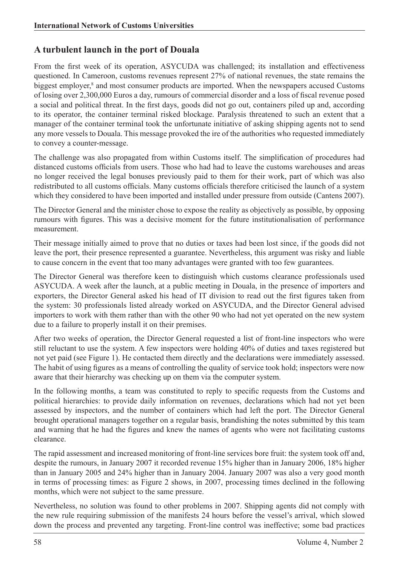### **A turbulent launch in the port of Douala**

From the first week of its operation, ASYCUDA was challenged; its installation and effectiveness questioned. In Cameroon, customs revenues represent 27% of national revenues, the state remains the biggest employer,<sup>8</sup> and most consumer products are imported. When the newspapers accused Customs of losing over 2,300,000 Euros a day, rumours of commercial disorder and a loss of fiscal revenue posed a social and political threat. In the first days, goods did not go out, containers piled up and, according to its operator, the container terminal risked blockage. Paralysis threatened to such an extent that a manager of the container terminal took the unfortunate initiative of asking shipping agents not to send any more vessels to Douala. This message provoked the ire of the authorities who requested immediately to convey a counter-message.

The challenge was also propagated from within Customs itself. The simplification of procedures had distanced customs officials from users. Those who had had to leave the customs warehouses and areas no longer received the legal bonuses previously paid to them for their work, part of which was also redistributed to all customs officials. Many customs officials therefore criticised the launch of a system which they considered to have been imported and installed under pressure from outside (Cantens 2007).

The Director General and the minister chose to expose the reality as objectively as possible, by opposing rumours with figures. This was a decisive moment for the future institutionalisation of performance measurement.

Their message initially aimed to prove that no duties or taxes had been lost since, if the goods did not leave the port, their presence represented a guarantee. Nevertheless, this argument was risky and liable to cause concern in the event that too many advantages were granted with too few guarantees.

The Director General was therefore keen to distinguish which customs clearance professionals used ASYCUDA. A week after the launch, at a public meeting in Douala, in the presence of importers and exporters, the Director General asked his head of IT division to read out the first figures taken from the system: 30 professionals listed already worked on ASYCUDA, and the Director General advised importers to work with them rather than with the other 90 who had not yet operated on the new system due to a failure to properly install it on their premises.

After two weeks of operation, the Director General requested a list of front-line inspectors who were still reluctant to use the system. A few inspectors were holding 40% of duties and taxes registered but not yet paid (see Figure 1). He contacted them directly and the declarations were immediately assessed. The habit of using figures as a means of controlling the quality of service took hold; inspectors were now aware that their hierarchy was checking up on them via the computer system.

In the following months, a team was constituted to reply to specific requests from the Customs and political hierarchies: to provide daily information on revenues, declarations which had not yet been assessed by inspectors, and the number of containers which had left the port. The Director General brought operational managers together on a regular basis, brandishing the notes submitted by this team and warning that he had the figures and knew the names of agents who were not facilitating customs clearance.

The rapid assessment and increased monitoring of front-line services bore fruit: the system took off and, despite the rumours, in January 2007 it recorded revenue 15% higher than in January 2006, 18% higher than in January 2005 and 24% higher than in January 2004. January 2007 was also a very good month in terms of processing times: as Figure 2 shows, in 2007, processing times declined in the following months, which were not subject to the same pressure.

Nevertheless, no solution was found to other problems in 2007. Shipping agents did not comply with the new rule requiring submission of the manifests 24 hours before the vessel's arrival, which slowed down the process and prevented any targeting. Front-line control was ineffective; some bad practices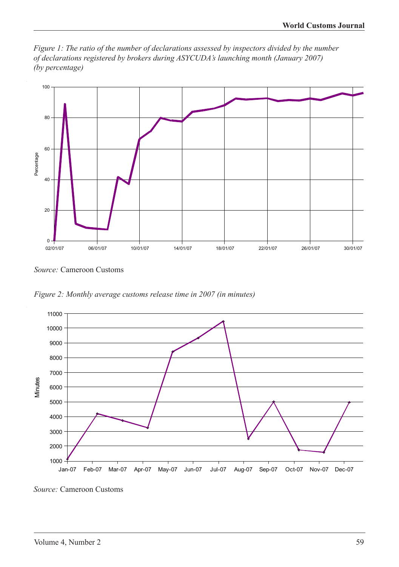*Figure 1: The ratio of the number of declarations assessed by inspectors divided by the number of declarations registered by brokers during ASYCUDA's launching month (January 2007) (by percentage)*



*Source:* Cameroon Customs

*Figure 2: Monthly average customs release time in 2007 (in minutes)*



*Source:* Cameroon Customs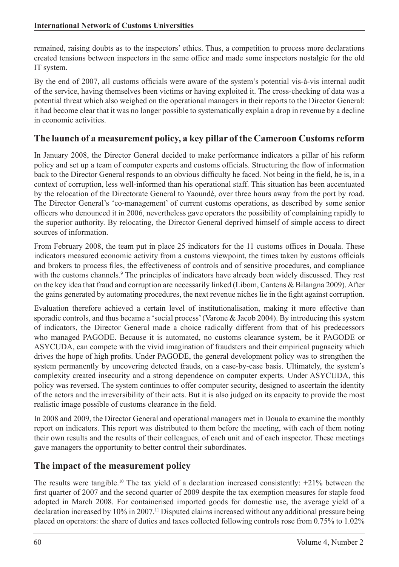remained, raising doubts as to the inspectors' ethics. Thus, a competition to process more declarations created tensions between inspectors in the same office and made some inspectors nostalgic for the old IT system.

By the end of 2007, all customs officials were aware of the system's potential vis-à-vis internal audit of the service, having themselves been victims or having exploited it. The cross-checking of data was a potential threat which also weighed on the operational managers in their reports to the Director General: it had become clear that it was no longer possible to systematically explain a drop in revenue by a decline in economic activities.

### **The launch of a measurement policy, a key pillar of the Cameroon Customs reform**

In January 2008, the Director General decided to make performance indicators a pillar of his reform policy and set up a team of computer experts and customs officials. Structuring the flow of information back to the Director General responds to an obvious difficulty he faced. Not being in the field, he is, in a context of corruption, less well-informed than his operational staff. This situation has been accentuated by the relocation of the Directorate General to Yaoundé, over three hours away from the port by road. The Director General's 'co-management' of current customs operations, as described by some senior officers who denounced it in 2006, nevertheless gave operators the possibility of complaining rapidly to the superior authority. By relocating, the Director General deprived himself of simple access to direct sources of information.

From February 2008, the team put in place 25 indicators for the 11 customs offices in Douala. These indicators measured economic activity from a customs viewpoint, the times taken by customs officials and brokers to process files, the effectiveness of controls and of sensitive procedures, and compliance with the customs channels.<sup>9</sup> The principles of indicators have already been widely discussed. They rest on the key idea that fraud and corruption are necessarily linked (Libom, Cantens & Bilangna 2009). After the gains generated by automating procedures, the next revenue niches lie in the fight against corruption.

Evaluation therefore achieved a certain level of institutionalisation, making it more effective than sporadic controls, and thus became a 'social process' (Varone & Jacob 2004). By introducing this system of indicators, the Director General made a choice radically different from that of his predecessors who managed PAGODE. Because it is automated, no customs clearance system, be it PAGODE or ASYCUDA, can compete with the vivid imagination of fraudsters and their empirical pugnacity which drives the hope of high profits. Under PAGODE, the general development policy was to strengthen the system permanently by uncovering detected frauds, on a case-by-case basis. Ultimately, the system's complexity created insecurity and a strong dependence on computer experts. Under ASYCUDA, this policy was reversed. The system continues to offer computer security, designed to ascertain the identity of the actors and the irreversibility of their acts. But it is also judged on its capacity to provide the most realistic image possible of customs clearance in the field.

In 2008 and 2009, the Director General and operational managers met in Douala to examine the monthly report on indicators. This report was distributed to them before the meeting, with each of them noting their own results and the results of their colleagues, of each unit and of each inspector. These meetings gave managers the opportunity to better control their subordinates.

#### **The impact of the measurement policy**

The results were tangible.<sup>10</sup> The tax yield of a declaration increased consistently:  $+21\%$  between the first quarter of 2007 and the second quarter of 2009 despite the tax exemption measures for staple food adopted in March 2008. For containerised imported goods for domestic use, the average yield of a declaration increased by 10% in 2007.11 Disputed claims increased without any additional pressure being placed on operators: the share of duties and taxes collected following controls rose from 0.75% to 1.02%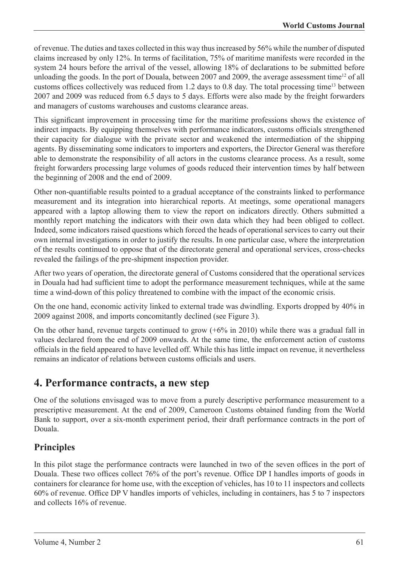of revenue. The duties and taxes collected in this way thus increased by 56% while the number of disputed claims increased by only 12%. In terms of facilitation, 75% of maritime manifests were recorded in the system 24 hours before the arrival of the vessel, allowing 18% of declarations to be submitted before unloading the goods. In the port of Douala, between 2007 and 2009, the average assessment time<sup>12</sup> of all customs offices collectively was reduced from 1.2 days to 0.8 day. The total processing time<sup>13</sup> between 2007 and 2009 was reduced from 6.5 days to 5 days. Efforts were also made by the freight forwarders and managers of customs warehouses and customs clearance areas.

This significant improvement in processing time for the maritime professions shows the existence of indirect impacts. By equipping themselves with performance indicators, customs officials strengthened their capacity for dialogue with the private sector and weakened the intermediation of the shipping agents. By disseminating some indicators to importers and exporters, the Director General was therefore able to demonstrate the responsibility of all actors in the customs clearance process. As a result, some freight forwarders processing large volumes of goods reduced their intervention times by half between the beginning of 2008 and the end of 2009.

Other non-quantifiable results pointed to a gradual acceptance of the constraints linked to performance measurement and its integration into hierarchical reports. At meetings, some operational managers appeared with a laptop allowing them to view the report on indicators directly. Others submitted a monthly report matching the indicators with their own data which they had been obliged to collect. Indeed, some indicators raised questions which forced the heads of operational services to carry out their own internal investigations in order to justify the results. In one particular case, where the interpretation of the results continued to oppose that of the directorate general and operational services, cross-checks revealed the failings of the pre-shipment inspection provider.

After two years of operation, the directorate general of Customs considered that the operational services in Douala had had sufficient time to adopt the performance measurement techniques, while at the same time a wind-down of this policy threatened to combine with the impact of the economic crisis.

On the one hand, economic activity linked to external trade was dwindling. Exports dropped by 40% in 2009 against 2008, and imports concomitantly declined (see Figure 3).

On the other hand, revenue targets continued to grow  $(+6\%$  in 2010) while there was a gradual fall in values declared from the end of 2009 onwards. At the same time, the enforcement action of customs officials in the field appeared to have levelled off. While this has little impact on revenue, it nevertheless remains an indicator of relations between customs officials and users.

### **4. Performance contracts, a new step**

One of the solutions envisaged was to move from a purely descriptive performance measurement to a prescriptive measurement. At the end of 2009, Cameroon Customs obtained funding from the World Bank to support, over a six-month experiment period, their draft performance contracts in the port of Douala.

### **Principles**

In this pilot stage the performance contracts were launched in two of the seven offices in the port of Douala. These two offices collect 76% of the port's revenue. Office DP I handles imports of goods in containers for clearance for home use, with the exception of vehicles, has 10 to 11 inspectors and collects 60% of revenue. Office DP V handles imports of vehicles, including in containers, has 5 to 7 inspectors and collects 16% of revenue.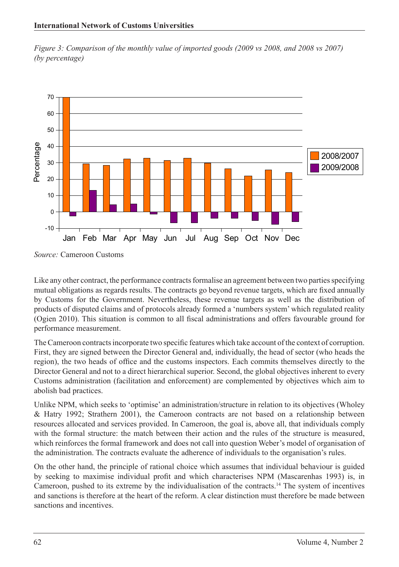*Figure 3: Comparison of the monthly value of imported goods (2009 vs 2008, and 2008 vs 2007) (by percentage)*



*Source:* Cameroon Customs

Like any other contract, the performance contracts formalise an agreement between two parties specifying mutual obligations as regards results. The contracts go beyond revenue targets, which are fixed annually by Customs for the Government. Nevertheless, these revenue targets as well as the distribution of products of disputed claims and of protocols already formed a 'numbers system' which regulated reality (Ogien 2010). This situation is common to all fiscal administrations and offers favourable ground for performance measurement.

The Cameroon contracts incorporate two specific features which take account of the context of corruption. First, they are signed between the Director General and, individually, the head of sector (who heads the region), the two heads of office and the customs inspectors. Each commits themselves directly to the Director General and not to a direct hierarchical superior. Second, the global objectives inherent to every Customs administration (facilitation and enforcement) are complemented by objectives which aim to abolish bad practices.

Unlike NPM, which seeks to 'optimise' an administration/structure in relation to its objectives (Wholey & Hatry 1992; Strathern 2001), the Cameroon contracts are not based on a relationship between resources allocated and services provided. In Cameroon, the goal is, above all, that individuals comply with the formal structure: the match between their action and the rules of the structure is measured, which reinforces the formal framework and does not call into question Weber's model of organisation of the administration. The contracts evaluate the adherence of individuals to the organisation's rules.

On the other hand, the principle of rational choice which assumes that individual behaviour is guided by seeking to maximise individual profit and which characterises NPM (Mascarenhas 1993) is, in Cameroon, pushed to its extreme by the individualisation of the contracts.14 The system of incentives and sanctions is therefore at the heart of the reform. A clear distinction must therefore be made between sanctions and incentives.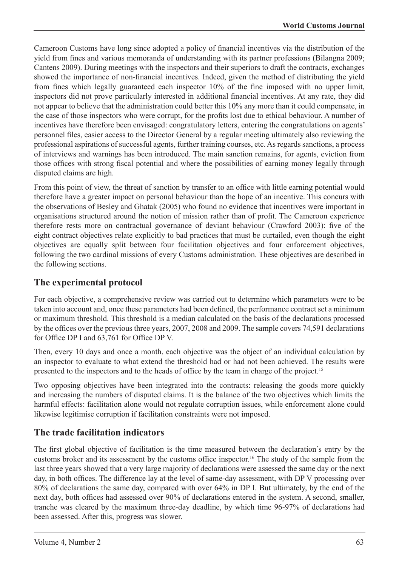Cameroon Customs have long since adopted a policy of financial incentives via the distribution of the yield from fines and various memoranda of understanding with its partner professions (Bilangna 2009; Cantens 2009). During meetings with the inspectors and their superiors to draft the contracts, exchanges showed the importance of non-financial incentives. Indeed, given the method of distributing the yield from fines which legally guaranteed each inspector 10% of the fine imposed with no upper limit, inspectors did not prove particularly interested in additional financial incentives. At any rate, they did not appear to believe that the administration could better this 10% any more than it could compensate, in the case of those inspectors who were corrupt, for the profits lost due to ethical behaviour. A number of incentives have therefore been envisaged: congratulatory letters, entering the congratulations on agents' personnel files, easier access to the Director General by a regular meeting ultimately also reviewing the professional aspirations of successful agents, further training courses, etc. As regards sanctions, a process of interviews and warnings has been introduced. The main sanction remains, for agents, eviction from those offices with strong fiscal potential and where the possibilities of earning money legally through disputed claims are high.

From this point of view, the threat of sanction by transfer to an office with little earning potential would therefore have a greater impact on personal behaviour than the hope of an incentive. This concurs with the observations of Besley and Ghatak (2005) who found no evidence that incentives were important in organisations structured around the notion of mission rather than of profit. The Cameroon experience therefore rests more on contractual governance of deviant behaviour (Crawford 2003): five of the eight contract objectives relate explicitly to bad practices that must be curtailed, even though the eight objectives are equally split between four facilitation objectives and four enforcement objectives, following the two cardinal missions of every Customs administration. These objectives are described in the following sections.

### **The experimental protocol**

For each objective, a comprehensive review was carried out to determine which parameters were to be taken into account and, once these parameters had been defined, the performance contract set a minimum or maximum threshold. This threshold is a median calculated on the basis of the declarations processed by the offices over the previous three years, 2007, 2008 and 2009. The sample covers 74,591 declarations for Office DP I and 63,761 for Office DP V.

Then, every 10 days and once a month, each objective was the object of an individual calculation by an inspector to evaluate to what extend the threshold had or had not been achieved. The results were presented to the inspectors and to the heads of office by the team in charge of the project.15

Two opposing objectives have been integrated into the contracts: releasing the goods more quickly and increasing the numbers of disputed claims. It is the balance of the two objectives which limits the harmful effects: facilitation alone would not regulate corruption issues, while enforcement alone could likewise legitimise corruption if facilitation constraints were not imposed.

### **The trade facilitation indicators**

The first global objective of facilitation is the time measured between the declaration's entry by the customs broker and its assessment by the customs office inspector.16 The study of the sample from the last three years showed that a very large majority of declarations were assessed the same day or the next day, in both offices. The difference lay at the level of same-day assessment, with DP V processing over 80% of declarations the same day, compared with over 64% in DP I. But ultimately, by the end of the next day, both offices had assessed over 90% of declarations entered in the system. A second, smaller, tranche was cleared by the maximum three-day deadline, by which time 96-97% of declarations had been assessed. After this, progress was slower.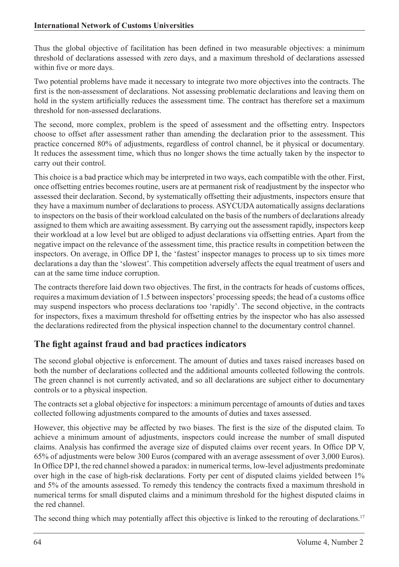Thus the global objective of facilitation has been defined in two measurable objectives: a minimum threshold of declarations assessed with zero days, and a maximum threshold of declarations assessed within five or more days.

Two potential problems have made it necessary to integrate two more objectives into the contracts. The first is the non-assessment of declarations. Not assessing problematic declarations and leaving them on hold in the system artificially reduces the assessment time. The contract has therefore set a maximum threshold for non-assessed declarations.

The second, more complex, problem is the speed of assessment and the offsetting entry. Inspectors choose to offset after assessment rather than amending the declaration prior to the assessment. This practice concerned 80% of adjustments, regardless of control channel, be it physical or documentary. It reduces the assessment time, which thus no longer shows the time actually taken by the inspector to carry out their control.

This choice is a bad practice which may be interpreted in two ways, each compatible with the other. First, once offsetting entries becomes routine, users are at permanent risk of readjustment by the inspector who assessed their declaration. Second, by systematically offsetting their adjustments, inspectors ensure that they have a maximum number of declarations to process. ASYCUDA automatically assigns declarations to inspectors on the basis of their workload calculated on the basis of the numbers of declarations already assigned to them which are awaiting assessment. By carrying out the assessment rapidly, inspectors keep their workload at a low level but are obliged to adjust declarations via offsetting entries. Apart from the negative impact on the relevance of the assessment time, this practice results in competition between the inspectors. On average, in Office DP I, the 'fastest' inspector manages to process up to six times more declarations a day than the 'slowest'. This competition adversely affects the equal treatment of users and can at the same time induce corruption.

The contracts therefore laid down two objectives. The first, in the contracts for heads of customs offices, requires a maximum deviation of 1.5 between inspectors' processing speeds; the head of a customs office may suspend inspectors who process declarations too 'rapidly'. The second objective, in the contracts for inspectors, fixes a maximum threshold for offsetting entries by the inspector who has also assessed the declarations redirected from the physical inspection channel to the documentary control channel.

### **The fight against fraud and bad practices indicators**

The second global objective is enforcement. The amount of duties and taxes raised increases based on both the number of declarations collected and the additional amounts collected following the controls. The green channel is not currently activated, and so all declarations are subject either to documentary controls or to a physical inspection.

The contracts set a global objective for inspectors: a minimum percentage of amounts of duties and taxes collected following adjustments compared to the amounts of duties and taxes assessed.

However, this objective may be affected by two biases. The first is the size of the disputed claim. To achieve a minimum amount of adjustments, inspectors could increase the number of small disputed claims. Analysis has confirmed the average size of disputed claims over recent years. In Office DP V, 65% of adjustments were below 300 Euros (compared with an average assessment of over 3,000 Euros). In Office DP I, the red channel showed a paradox: in numerical terms, low-level adjustments predominate over high in the case of high-risk declarations. Forty per cent of disputed claims yielded between 1% and 5% of the amounts assessed. To remedy this tendency the contracts fixed a maximum threshold in numerical terms for small disputed claims and a minimum threshold for the highest disputed claims in the red channel.

The second thing which may potentially affect this objective is linked to the rerouting of declarations.<sup>17</sup>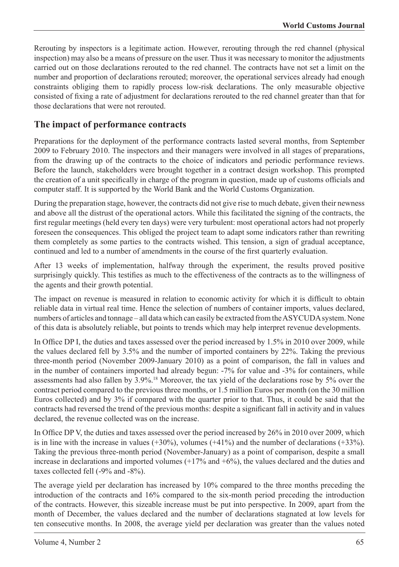Rerouting by inspectors is a legitimate action. However, rerouting through the red channel (physical inspection) may also be a means of pressure on the user. Thus it was necessary to monitor the adjustments carried out on those declarations rerouted to the red channel. The contracts have not set a limit on the number and proportion of declarations rerouted; moreover, the operational services already had enough constraints obliging them to rapidly process low-risk declarations. The only measurable objective consisted of fixing a rate of adjustment for declarations rerouted to the red channel greater than that for those declarations that were not rerouted.

#### **The impact of performance contracts**

Preparations for the deployment of the performance contracts lasted several months, from September 2009 to February 2010. The inspectors and their managers were involved in all stages of preparations, from the drawing up of the contracts to the choice of indicators and periodic performance reviews. Before the launch, stakeholders were brought together in a contract design workshop. This prompted the creation of a unit specifically in charge of the program in question, made up of customs officials and computer staff. It is supported by the World Bank and the World Customs Organization.

During the preparation stage, however, the contracts did not give rise to much debate, given their newness and above all the distrust of the operational actors. While this facilitated the signing of the contracts, the first regular meetings (held every ten days) were very turbulent: most operational actors had not properly foreseen the consequences. This obliged the project team to adapt some indicators rather than rewriting them completely as some parties to the contracts wished. This tension, a sign of gradual acceptance, continued and led to a number of amendments in the course of the first quarterly evaluation.

After 13 weeks of implementation, halfway through the experiment, the results proved positive surprisingly quickly. This testifies as much to the effectiveness of the contracts as to the willingness of the agents and their growth potential.

The impact on revenue is measured in relation to economic activity for which it is difficult to obtain reliable data in virtual real time. Hence the selection of numbers of container imports, values declared, numbers of articles and tonnage – all data which can easily be extracted from the ASYCUDA system. None of this data is absolutely reliable, but points to trends which may help interpret revenue developments.

In Office DP I, the duties and taxes assessed over the period increased by 1.5% in 2010 over 2009, while the values declared fell by 3.5% and the number of imported containers by 22%. Taking the previous three-month period (November 2009-January 2010) as a point of comparison, the fall in values and in the number of containers imported had already begun: -7% for value and -3% for containers, while assessments had also fallen by 3.9%.18 Moreover, the tax yield of the declarations rose by 5% over the contract period compared to the previous three months, or 1.5 million Euros per month (on the 30 million Euros collected) and by 3% if compared with the quarter prior to that. Thus, it could be said that the contracts had reversed the trend of the previous months: despite a significant fall in activity and in values declared, the revenue collected was on the increase.

In Office DP V, the duties and taxes assessed over the period increased by 26% in 2010 over 2009, which is in line with the increase in values  $(+30\%)$ , volumes  $(+41\%)$  and the number of declarations  $(+33\%)$ . Taking the previous three-month period (November-January) as a point of comparison, despite a small increase in declarations and imported volumes  $(+17\%$  and  $+6\%)$ , the values declared and the duties and taxes collected fell (-9% and -8%).

The average yield per declaration has increased by 10% compared to the three months preceding the introduction of the contracts and 16% compared to the six-month period preceding the introduction of the contracts. However, this sizeable increase must be put into perspective. In 2009, apart from the month of December, the values declared and the number of declarations stagnated at low levels for ten consecutive months. In 2008, the average yield per declaration was greater than the values noted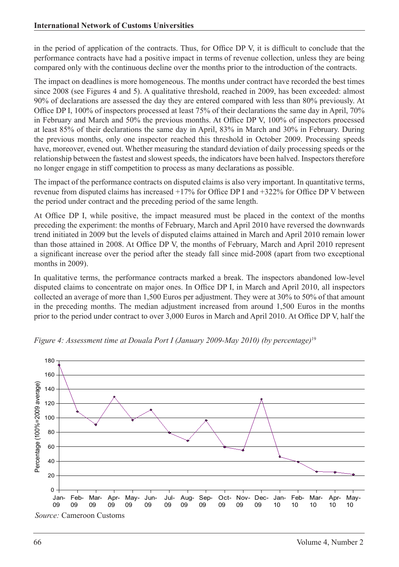in the period of application of the contracts. Thus, for Office DP V, it is difficult to conclude that the performance contracts have had a positive impact in terms of revenue collection, unless they are being compared only with the continuous decline over the months prior to the introduction of the contracts.

The impact on deadlines is more homogeneous. The months under contract have recorded the best times since 2008 (see Figures 4 and 5). A qualitative threshold, reached in 2009, has been exceeded: almost 90% of declarations are assessed the day they are entered compared with less than 80% previously. At Office DP I, 100% of inspectors processed at least 75% of their declarations the same day in April, 70% in February and March and 50% the previous months. At Office DP V, 100% of inspectors processed at least 85% of their declarations the same day in April, 83% in March and 30% in February. During the previous months, only one inspector reached this threshold in October 2009. Processing speeds have, moreover, evened out. Whether measuring the standard deviation of daily processing speeds or the relationship between the fastest and slowest speeds, the indicators have been halved. Inspectors therefore no longer engage in stiff competition to process as many declarations as possible.

The impact of the performance contracts on disputed claims is also very important. In quantitative terms, revenue from disputed claims has increased +17% for Office DP I and +322% for Office DP V between the period under contract and the preceding period of the same length.

At Office DP I, while positive, the impact measured must be placed in the context of the months preceding the experiment: the months of February, March and April 2010 have reversed the downwards trend initiated in 2009 but the levels of disputed claims attained in March and April 2010 remain lower than those attained in 2008. At Office DP V, the months of February, March and April 2010 represent a significant increase over the period after the steady fall since mid-2008 (apart from two exceptional months in 2009).

In qualitative terms, the performance contracts marked a break. The inspectors abandoned low-level disputed claims to concentrate on major ones. In Office DP I, in March and April 2010, all inspectors collected an average of more than 1,500 Euros per adjustment. They were at 30% to 50% of that amount in the preceding months. The median adjustment increased from around 1,500 Euros in the months prior to the period under contract to over 3,000 Euros in March and April 2010. At Office DP V, half the



*Figure 4: Assessment time at Douala Port I (January 2009-May 2010) (by percentage)*<sup>19</sup>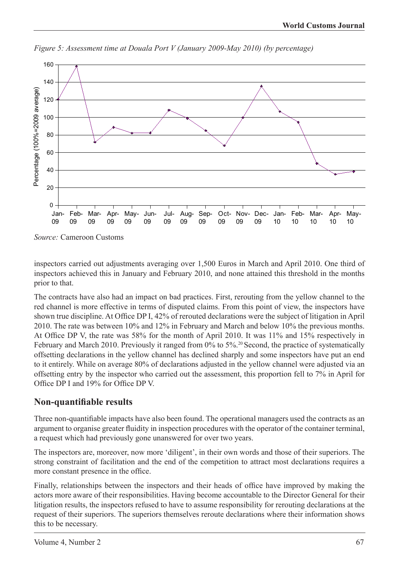

*Figure 5: Assessment time at Douala Port V (January 2009-May 2010) (by percentage)*

*Source:* Cameroon Customs

inspectors carried out adjustments averaging over 1,500 Euros in March and April 2010. One third of inspectors achieved this in January and February 2010, and none attained this threshold in the months prior to that.

The contracts have also had an impact on bad practices. First, rerouting from the yellow channel to the red channel is more effective in terms of disputed claims. From this point of view, the inspectors have shown true discipline. At Office DP I, 42% of rerouted declarations were the subject of litigation in April 2010. The rate was between 10% and 12% in February and March and below 10% the previous months. At Office DP V, the rate was 58% for the month of April 2010. It was 11% and 15% respectively in February and March 2010. Previously it ranged from 0% to 5%.<sup>20</sup> Second, the practice of systematically offsetting declarations in the yellow channel has declined sharply and some inspectors have put an end to it entirely. While on average 80% of declarations adjusted in the yellow channel were adjusted via an offsetting entry by the inspector who carried out the assessment, this proportion fell to 7% in April for Office DP I and 19% for Office DP V.

#### **Non-quantifiable results**

Three non-quantifiable impacts have also been found. The operational managers used the contracts as an argument to organise greater fluidity in inspection procedures with the operator of the container terminal, a request which had previously gone unanswered for over two years.

The inspectors are, moreover, now more 'diligent', in their own words and those of their superiors. The strong constraint of facilitation and the end of the competition to attract most declarations requires a more constant presence in the office.

Finally, relationships between the inspectors and their heads of office have improved by making the actors more aware of their responsibilities. Having become accountable to the Director General for their litigation results, the inspectors refused to have to assume responsibility for rerouting declarations at the request of their superiors. The superiors themselves reroute declarations where their information shows this to be necessary.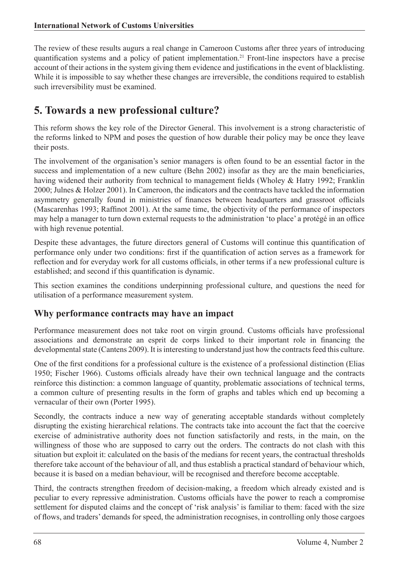The review of these results augurs a real change in Cameroon Customs after three years of introducing quantification systems and a policy of patient implementation.21 Front-line inspectors have a precise account of their actions in the system giving them evidence and justifications in the event of blacklisting. While it is impossible to say whether these changes are irreversible, the conditions required to establish such irreversibility must be examined.

# **5. Towards a new professional culture?**

This reform shows the key role of the Director General. This involvement is a strong characteristic of the reforms linked to NPM and poses the question of how durable their policy may be once they leave their posts.

The involvement of the organisation's senior managers is often found to be an essential factor in the success and implementation of a new culture (Behn 2002) insofar as they are the main beneficiaries, having widened their authority from technical to management fields (Wholey & Hatry 1992; Franklin 2000; Julnes & Holzer 2001). In Cameroon, the indicators and the contracts have tackled the information asymmetry generally found in ministries of finances between headquarters and grassroot officials (Mascarenhas 1993; Raffinot 2001). At the same time, the objectivity of the performance of inspectors may help a manager to turn down external requests to the administration 'to place' a protégé in an office with high revenue potential.

Despite these advantages, the future directors general of Customs will continue this quantification of performance only under two conditions: first if the quantification of action serves as a framework for reflection and for everyday work for all customs officials, in other terms if a new professional culture is established; and second if this quantification is dynamic.

This section examines the conditions underpinning professional culture, and questions the need for utilisation of a performance measurement system.

#### **Why performance contracts may have an impact**

Performance measurement does not take root on virgin ground. Customs officials have professional associations and demonstrate an esprit de corps linked to their important role in financing the developmental state (Cantens 2009). It is interesting to understand just how the contracts feed this culture.

One of the first conditions for a professional culture is the existence of a professional distinction (Elias 1950; Fischer 1966). Customs officials already have their own technical language and the contracts reinforce this distinction: a common language of quantity, problematic associations of technical terms, a common culture of presenting results in the form of graphs and tables which end up becoming a vernacular of their own (Porter 1995).

Secondly, the contracts induce a new way of generating acceptable standards without completely disrupting the existing hierarchical relations. The contracts take into account the fact that the coercive exercise of administrative authority does not function satisfactorily and rests, in the main, on the willingness of those who are supposed to carry out the orders. The contracts do not clash with this situation but exploit it: calculated on the basis of the medians for recent years, the contractual thresholds therefore take account of the behaviour of all, and thus establish a practical standard of behaviour which, because it is based on a median behaviour, will be recognised and therefore become acceptable.

Third, the contracts strengthen freedom of decision-making, a freedom which already existed and is peculiar to every repressive administration. Customs officials have the power to reach a compromise settlement for disputed claims and the concept of 'risk analysis' is familiar to them: faced with the size of flows, and traders' demands for speed, the administration recognises, in controlling only those cargoes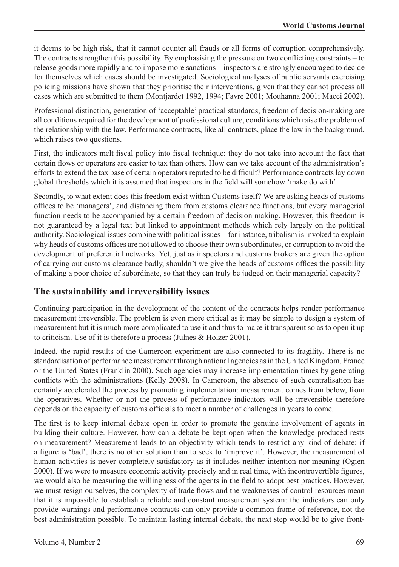it deems to be high risk, that it cannot counter all frauds or all forms of corruption comprehensively. The contracts strengthen this possibility. By emphasising the pressure on two conflicting constraints – to release goods more rapidly and to impose more sanctions – inspectors are strongly encouraged to decide for themselves which cases should be investigated. Sociological analyses of public servants exercising policing missions have shown that they prioritise their interventions, given that they cannot process all cases which are submitted to them (Montjardet 1992, 1994; Favre 2001; Mouhanna 2001; Macci 2002).

Professional distinction, generation of 'acceptable' practical standards, freedom of decision-making are all conditions required for the development of professional culture, conditions which raise the problem of the relationship with the law. Performance contracts, like all contracts, place the law in the background, which raises two questions.

First, the indicators melt fiscal policy into fiscal technique: they do not take into account the fact that certain flows or operators are easier to tax than others. How can we take account of the administration's efforts to extend the tax base of certain operators reputed to be difficult? Performance contracts lay down global thresholds which it is assumed that inspectors in the field will somehow 'make do with'.

Secondly, to what extent does this freedom exist within Customs itself? We are asking heads of customs offices to be 'managers', and distancing them from customs clearance functions, but every managerial function needs to be accompanied by a certain freedom of decision making. However, this freedom is not guaranteed by a legal text but linked to appointment methods which rely largely on the political authority. Sociological issues combine with political issues – for instance, tribalism is invoked to explain why heads of customs offices are not allowed to choose their own subordinates, or corruption to avoid the development of preferential networks. Yet, just as inspectors and customs brokers are given the option of carrying out customs clearance badly, shouldn't we give the heads of customs offices the possibility of making a poor choice of subordinate, so that they can truly be judged on their managerial capacity?

#### **The sustainability and irreversibility issues**

Continuing participation in the development of the content of the contracts helps render performance measurement irreversible. The problem is even more critical as it may be simple to design a system of measurement but it is much more complicated to use it and thus to make it transparent so as to open it up to criticism. Use of it is therefore a process (Julnes & Holzer 2001).

Indeed, the rapid results of the Cameroon experiment are also connected to its fragility. There is no standardisation of performance measurement through national agencies as in the United Kingdom, France or the United States (Franklin 2000). Such agencies may increase implementation times by generating conflicts with the administrations (Kelly 2008). In Cameroon, the absence of such centralisation has certainly accelerated the process by promoting implementation: measurement comes from below, from the operatives. Whether or not the process of performance indicators will be irreversible therefore depends on the capacity of customs officials to meet a number of challenges in years to come.

The first is to keep internal debate open in order to promote the genuine involvement of agents in building their culture. However, how can a debate be kept open when the knowledge produced rests on measurement? Measurement leads to an objectivity which tends to restrict any kind of debate: if a figure is 'bad', there is no other solution than to seek to 'improve it'. However, the measurement of human activities is never completely satisfactory as it includes neither intention nor meaning (Ogien 2000). If we were to measure economic activity precisely and in real time, with incontrovertible figures, we would also be measuring the willingness of the agents in the field to adopt best practices. However, we must resign ourselves, the complexity of trade flows and the weaknesses of control resources mean that it is impossible to establish a reliable and constant measurement system: the indicators can only provide warnings and performance contracts can only provide a common frame of reference, not the best administration possible. To maintain lasting internal debate, the next step would be to give front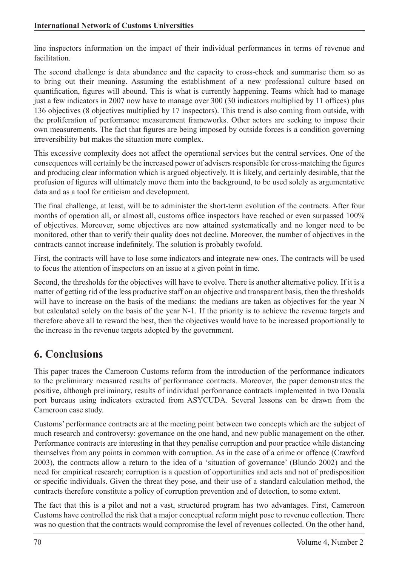line inspectors information on the impact of their individual performances in terms of revenue and facilitation.

The second challenge is data abundance and the capacity to cross-check and summarise them so as to bring out their meaning. Assuming the establishment of a new professional culture based on quantification, figures will abound. This is what is currently happening. Teams which had to manage just a few indicators in 2007 now have to manage over 300 (30 indicators multiplied by 11 offices) plus 136 objectives (8 objectives multiplied by 17 inspectors). This trend is also coming from outside, with the proliferation of performance measurement frameworks. Other actors are seeking to impose their own measurements. The fact that figures are being imposed by outside forces is a condition governing irreversibility but makes the situation more complex.

This excessive complexity does not affect the operational services but the central services. One of the consequences will certainly be the increased power of advisers responsible for cross-matching the figures and producing clear information which is argued objectively. It is likely, and certainly desirable, that the profusion of figures will ultimately move them into the background, to be used solely as argumentative data and as a tool for criticism and development.

The final challenge, at least, will be to administer the short-term evolution of the contracts. After four months of operation all, or almost all, customs office inspectors have reached or even surpassed 100% of objectives. Moreover, some objectives are now attained systematically and no longer need to be monitored, other than to verify their quality does not decline. Moreover, the number of objectives in the contracts cannot increase indefinitely. The solution is probably twofold.

First, the contracts will have to lose some indicators and integrate new ones. The contracts will be used to focus the attention of inspectors on an issue at a given point in time.

Second, the thresholds for the objectives will have to evolve. There is another alternative policy. If it is a matter of getting rid of the less productive staff on an objective and transparent basis, then the thresholds will have to increase on the basis of the medians: the medians are taken as objectives for the year N but calculated solely on the basis of the year N-1. If the priority is to achieve the revenue targets and therefore above all to reward the best, then the objectives would have to be increased proportionally to the increase in the revenue targets adopted by the government.

# **6. Conclusions**

This paper traces the Cameroon Customs reform from the introduction of the performance indicators to the preliminary measured results of performance contracts. Moreover, the paper demonstrates the positive, although preliminary, results of individual performance contracts implemented in two Douala port bureaus using indicators extracted from ASYCUDA. Several lessons can be drawn from the Cameroon case study.

Customs' performance contracts are at the meeting point between two concepts which are the subject of much research and controversy: governance on the one hand, and new public management on the other. Performance contracts are interesting in that they penalise corruption and poor practice while distancing themselves from any points in common with corruption. As in the case of a crime or offence (Crawford 2003), the contracts allow a return to the idea of a 'situation of governance' (Blundo 2002) and the need for empirical research; corruption is a question of opportunities and acts and not of predisposition or specific individuals. Given the threat they pose, and their use of a standard calculation method, the contracts therefore constitute a policy of corruption prevention and of detection, to some extent.

The fact that this is a pilot and not a vast, structured program has two advantages. First, Cameroon Customs have controlled the risk that a major conceptual reform might pose to revenue collection. There was no question that the contracts would compromise the level of revenues collected. On the other hand,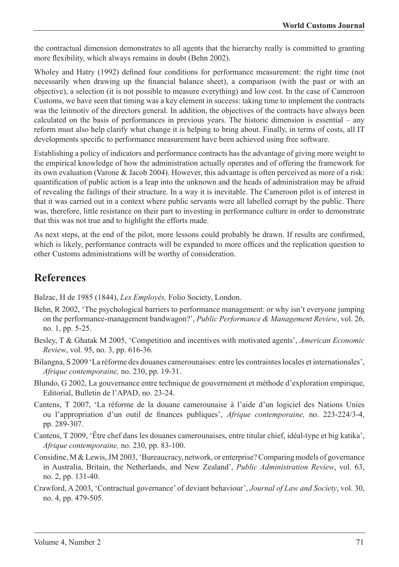the contractual dimension demonstrates to all agents that the hierarchy really is committed to granting more flexibility, which always remains in doubt (Behn 2002).

Wholey and Hatry (1992) defined four conditions for performance measurement: the right time (not necessarily when drawing up the financial balance sheet), a comparison (with the past or with an objective), a selection (it is not possible to measure everything) and low cost. In the case of Cameroon Customs, we have seen that timing was a key element in success: taking time to implement the contracts was the leitmotiv of the directors general. In addition, the objectives of the contracts have always been calculated on the basis of performances in previous years. The historic dimension is essential – any reform must also help clarify what change it is helping to bring about. Finally, in terms of costs, all IT developments specific to performance measurement have been achieved using free software.

Establishing a policy of indicators and performance contracts has the advantage of giving more weight to the empirical knowledge of how the administration actually operates and of offering the framework for its own evaluation (Varone & Jacob 2004). However, this advantage is often perceived as more of a risk: quantification of public action is a leap into the unknown and the heads of administration may be afraid of revealing the failings of their structure. In a way it is inevitable. The Cameroon pilot is of interest in that it was carried out in a context where public servants were all labelled corrupt by the public. There was, therefore, little resistance on their part to investing in performance culture in order to demonstrate that this was not true and to highlight the efforts made.

As next steps, at the end of the pilot, more lessons could probably be drawn. If results are confirmed, which is likely, performance contracts will be expanded to more offices and the replication question to other Customs administrations will be worthy of consideration.

## **References**

Balzac, H de 1985 (1844), *Les Employés,* Folio Society, London.

- Behn, R 2002, 'The psychological barriers to performance management: or why isn't everyone jumping on the performance-management bandwagon?', *Public Performance & Management Review*, vol. 26, no. 1, pp. 5-25.
- Besley, T & Ghatak M 2005, 'Competition and incentives with motivated agents', *American Economic Review*, vol. 95, no. 3, pp. 616-36.
- Bilangna, S 2009 'La réforme des douanes camerounaises: entre les contraintes locales et internationales', *Afrique contemporaine,* no. 230, pp. 19-31.
- Blundo, G 2002, La gouvernance entre technique de gouvernement et méthode d'exploration empirique, Editorial, Bulletin de l'APAD, no. 23-24.
- Cantens, T 2007, 'La réforme de la douane camerounaise à l'aide d'un logiciel des Nations Unies ou l'appropriation d'un outil de finances publiques', *Afrique contemporaine,* no. 223-224/3-4, pp. 289-307.
- Cantens, T 2009, 'Être chef dans les douanes camerounaises, entre titular chief, idéal-type et big katika', *Afrique contemporaine,* no. 230, pp. 83-100.
- Considine, M & Lewis, JM 2003, 'Bureaucracy, network, or enterprise? Comparing models of governance in Australia, Britain, the Netherlands, and New Zealand', *Public Administration Review*, vol. 63, no. 2, pp. 131-40.
- Crawford, A 2003, 'Contractual governance' of deviant behaviour', *Journal of Law and Society*, vol. 30, no. 4, pp. 479-505.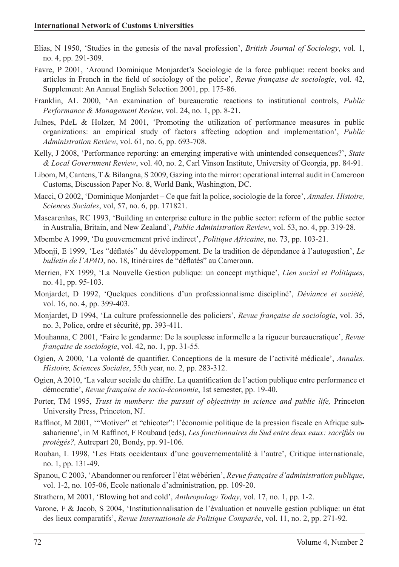- Elias, N 1950, 'Studies in the genesis of the naval profession', *British Journal of Sociology*, vol. 1, no. 4, pp. 291-309.
- Favre, P 2001, 'Around Dominique Monjardet's Sociologie de la force publique: recent books and articles in French in the field of sociology of the police', *Revue française de sociologie*, vol. 42, Supplement: An Annual English Selection 2001, pp. 175-86.
- Franklin, AL 2000, 'An examination of bureaucratic reactions to institutional controls, *Public Performance & Management Review*, vol. 24, no. 1, pp. 8-21.
- Julnes, PdeL & Holzer, M 2001, 'Promoting the utilization of performance measures in public organizations: an empirical study of factors affecting adoption and implementation', *Public Administration Review*, vol. 61, no. 6, pp. 693-708.
- Kelly, J 2008, 'Performance reporting: an emerging imperative with unintended consequences?', *State & Local Government Review*, vol. 40, no. 2, Carl Vinson Institute, University of Georgia, pp. 84-91.
- Libom, M, Cantens, T & Bilangna, S 2009, Gazing into the mirror: operational internal audit in Cameroon Customs, Discussion Paper No. 8, World Bank, Washington, DC.
- Macci, O 2002, 'Dominique Monjardet Ce que fait la police, sociologie de la force', *Annales. Histoire, Sciences Sociales*, vol, 57, no. 6, pp. 171821.
- Mascarenhas, RC 1993, 'Building an enterprise culture in the public sector: reform of the public sector in Australia, Britain, and New Zealand', *Public Administration Review*, vol. 53, no. 4, pp. 319-28.
- Mbembe A 1999, 'Du gouvernement privé indirect', *Politique Africaine*, no. 73, pp. 103-21.
- Mbonji, E 1999, 'Les "déflatés" du développement. De la tradition de dépendance à l'autogestion', *Le bulletin de l'APAD*, no. 18, Itinéraires de "déflatés" au Cameroun.
- Merrien, FX 1999, 'La Nouvelle Gestion publique: un concept mythique', *Lien social et Politiques*, no. 41, pp. 95-103.
- Monjardet, D 1992, 'Quelques conditions d'un professionnalisme discipliné', *Déviance et société,* vol. 16, no. 4, pp. 399-403.
- Monjardet, D 1994, 'La culture professionnelle des policiers', *Revue française de sociologie*, vol. 35, no. 3, Police, ordre et sécurité, pp. 393-411.
- Mouhanna, C 2001, 'Faire le gendarme: De la souplesse informelle a la rigueur bureaucratique', *Revue française de sociologie*, vol. 42, no. 1, pp. 31-55.
- Ogien, A 2000, 'La volonté de quantifier. Conceptions de la mesure de l'activité médicale', *Annales. Histoire, Sciences Sociales*, 55th year, no. 2, pp. 283-312.
- Ogien, A 2010, 'La valeur sociale du chiffre. La quantification de l'action publique entre performance et démocratie', *Revue française de socio-économie*, 1st semester, pp. 19-40.
- Porter, TM 1995, *Trust in numbers: the pursuit of objectivity in science and public life,* Princeton University Press, Princeton, NJ.
- Raffinot, M 2001, '"Motiver" et "chicoter": l'économie politique de la pression fiscale en Afrique subsaharienne', in M Raffinot, F Roubaud (eds), *Les fonctionnaires du Sud entre deux eaux: sacrifiés ou protégés?,* Autrepart 20, Bondy, pp. 91-106.
- Rouban, L 1998, 'Les Etats occidentaux d'une gouvernementalité à l'autre', Critique internationale, no. 1, pp. 131-49.
- Spanou, C 2003, 'Abandonner ou renforcer l'état wébérien', *Revue française d'administration publique*, vol. 1-2, no. 105-06, Ecole nationale d'administration, pp. 109-20.
- Strathern, M 2001, 'Blowing hot and cold', *Anthropology Today*, vol. 17, no. 1, pp. 1-2.
- Varone, F & Jacob, S 2004, 'Institutionnalisation de l'évaluation et nouvelle gestion publique: un état des lieux comparatifs', *Revue Internationale de Politique Comparée*, vol. 11, no. 2, pp. 271-92.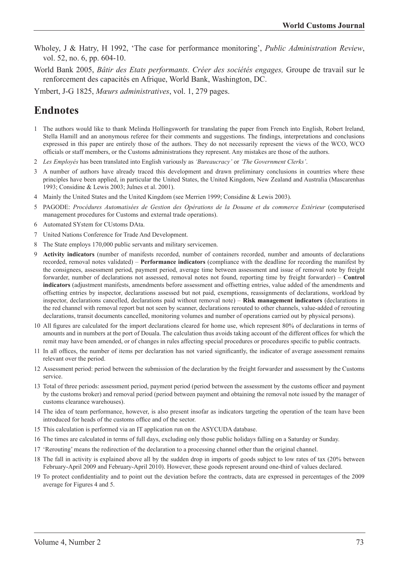- Wholey, J & Hatry, H 1992, 'The case for performance monitoring', *Public Administration Review*, vol. 52, no. 6, pp. 604-10.
- World Bank 2005, *Bâtir des Etats performants. Créer des sociétés engages,* Groupe de travail sur le renforcement des capacités en Afrique, World Bank, Washington, DC.

Ymbert, J-G 1825, *Mœurs administratives*, vol. 1, 279 pages.

# **Endnotes**

- 1 The authors would like to thank Melinda Hollingsworth for translating the paper from French into English, Robert Ireland, Stella Hamill and an anonymous referee for their comments and suggestions. The findings, interpretations and conclusions expressed in this paper are entirely those of the authors. They do not necessarily represent the views of the WCO, WCO officials or staff members, or the Customs administrations they represent. Any mistakes are those of the authors.
- 2 *Les Employés* has been translated into English variously as *'Bureaucracy'* or *'The Government Clerks'*.
- 3 A number of authors have already traced this development and drawn preliminary conclusions in countries where these principles have been applied, in particular the United States, the United Kingdom, New Zealand and Australia (Mascarenhas 1993; Considine & Lewis 2003; Julnes et al. 2001).
- 4 Mainly the United States and the United Kingdom (see Merrien 1999; Considine & Lewis 2003).
- 5 PAGODE: *Procédures Automatisées de Gestion des Opérations de la Douane et du commerce Extérieur* (computerised management procedures for Customs and external trade operations).
- Automated SYstem for CUstoms DAta.
- 7 United Nations Conference for Trade And Development.
- 8 The State employs 170,000 public servants and military servicemen.
- Activity indicators (number of manifests recorded, number of containers recorded, number and amounts of declarations recorded, removal notes validated) – **Performance indicators** (compliance with the deadline for recording the manifest by the consignees, assessment period, payment period, average time between assessment and issue of removal note by freight forwarder, number of declarations not assessed, removal notes not found, reporting time by freight forwarder) – **Control indicators** (adjustment manifests, amendments before assessment and offsetting entries, value added of the amendments and offsetting entries by inspector, declarations assessed but not paid, exemptions, reassignments of declarations, workload by inspector, declarations cancelled, declarations paid without removal note) – **Risk management indicators** (declarations in the red channel with removal report but not seen by scanner, declarations rerouted to other channels, value-added of rerouting declarations, transit documents cancelled, monitoring volumes and number of operations carried out by physical persons).
- 10 All figures are calculated for the import declarations cleared for home use, which represent 80% of declarations in terms of amounts and in numbers at the port of Douala. The calculation thus avoids taking account of the different offices for which the remit may have been amended, or of changes in rules affecting special procedures or procedures specific to public contracts.
- 11 In all offices, the number of items per declaration has not varied significantly, the indicator of average assessment remains relevant over the period.
- 12 Assessment period: period between the submission of the declaration by the freight forwarder and assessment by the Customs service.
- 13 Total of three periods: assessment period, payment period (period between the assessment by the customs officer and payment by the customs broker) and removal period (period between payment and obtaining the removal note issued by the manager of customs clearance warehouses).
- 14 The idea of team performance, however, is also present insofar as indicators targeting the operation of the team have been introduced for heads of the customs office and of the sector.
- 15 This calculation is performed via an IT application run on the ASYCUDA database.
- 16 The times are calculated in terms of full days, excluding only those public holidays falling on a Saturday or Sunday.
- 17 'Rerouting' means the redirection of the declaration to a processing channel other than the original channel.
- 18 The fall in activity is explained above all by the sudden drop in imports of goods subject to low rates of tax (20% between February-April 2009 and February-April 2010). However, these goods represent around one-third of values declared.
- 19 To protect confidentiality and to point out the deviation before the contracts, data are expressed in percentages of the 2009 average for Figures 4 and 5.